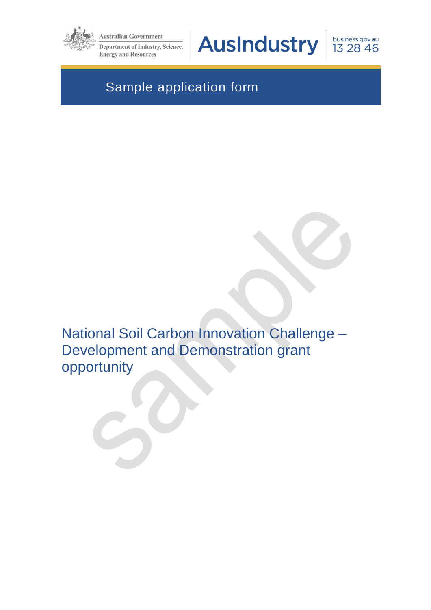

**Australian Government** 

**Department of Industry, Science, Energy and Resources** 

AusIndustry

business.gov.au 13 28 46

# Sample application form

National Soil Carbon Innovation Challenge – Development and Demonstration grant opportunity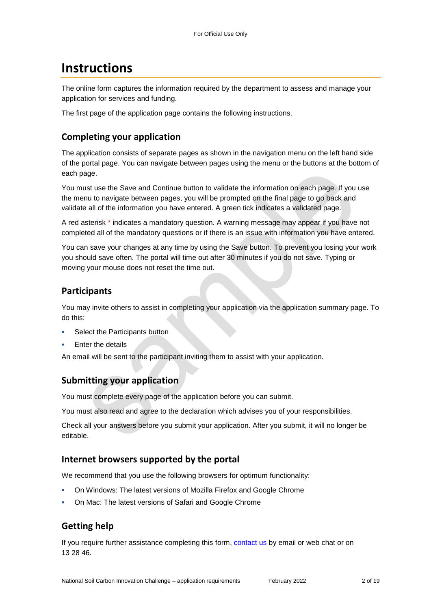# **Instructions**

The online form captures the information required by the department to assess and manage your application for services and funding.

The first page of the application page contains the following instructions.

### **Completing your application**

The application consists of separate pages as shown in the navigation menu on the left hand side of the portal page. You can navigate between pages using the menu or the buttons at the bottom of each page.

You must use the Save and Continue button to validate the information on each page. If you use the menu to navigate between pages, you will be prompted on the final page to go back and validate all of the information you have entered. A green tick indicates a validated page.

A red asterisk \* indicates a mandatory question. A warning message may appear if you have not completed all of the mandatory questions or if there is an issue with information you have entered.

You can save your changes at any time by using the Save button. To prevent you losing your work you should save often. The portal will time out after 30 minutes if you do not save. Typing or moving your mouse does not reset the time out.

### **Participants**

You may invite others to assist in completing your application via the application summary page. To do this:

- Select the Participants button
- Enter the details

An email will be sent to the participant inviting them to assist with your application.

### **Submitting your application**

You must complete every page of the application before you can submit.

You must also read and agree to the declaration which advises you of your responsibilities.

Check all your answers before you submit your application. After you submit, it will no longer be editable.

### **Internet browsers supported by the portal**

We recommend that you use the following browsers for optimum functionality:

- On Windows: The latest versions of Mozilla Firefox and Google Chrome
- On Mac: The latest versions of Safari and Google Chrome

## **Getting help**

If you require further assistance completing this form, [contact us](https://www.business.gov.au/contact-us) by email or web chat or on 13 28 46.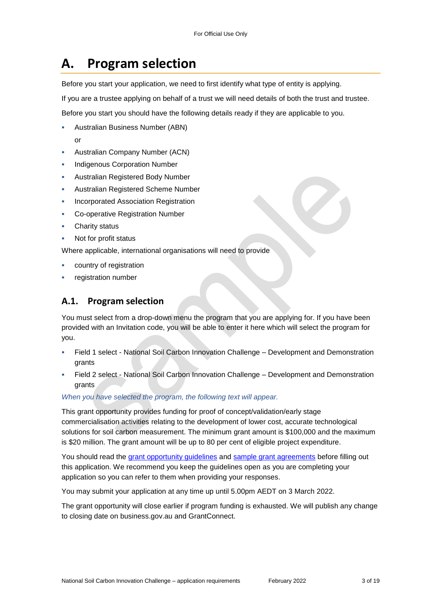# **A. Program selection**

Before you start your application, we need to first identify what type of entity is applying.

If you are a trustee applying on behalf of a trust we will need details of both the trust and trustee.

Before you start you should have the following details ready if they are applicable to you.

- Australian Business Number (ABN) or
- Australian Company Number (ACN)
- Indigenous Corporation Number
- Australian Registered Body Number
- Australian Registered Scheme Number
- Incorporated Association Registration
- Co-operative Registration Number
- Charity status
- Not for profit status

Where applicable, international organisations will need to provide

- country of registration
- registration number

#### **A.1. Program selection**

You must select from a drop-down menu the program that you are applying for. If you have been provided with an Invitation code, you will be able to enter it here which will select the program for you.

- Field 1 select National Soil Carbon Innovation Challenge Development and Demonstration grants
- Field 2 select National Soil Carbon Innovation Challenge Development and Demonstration grants

#### *When you have selected the program, the following text will appear.*

This grant opportunity provides funding for proof of concept/validation/early stage commercialisation activities relating to the development of lower cost, accurate technological solutions for soil carbon measurement. The minimum grant amount is \$100,000 and the maximum is \$20 million. The grant amount will be up to 80 per cent of eligible project expenditure.

You should read the [grant opportunity guidelines](https://business.gov.au/grants-and-programs/national-soil-carbon-innovation-challenge-development-and-demonstration#key-documents) and [sample grant agreements](https://business.gov.au/grants-and-programs/national-soil-carbon-innovation-challenge-development-and-demonstration#key-documents) before filling out this application. We recommend you keep the guidelines open as you are completing your application so you can refer to them when providing your responses.

You may submit your application at any time up until 5.00pm AEDT on 3 March 2022.

The grant opportunity will close earlier if program funding is exhausted. We will publish any change to closing date on business.gov.au and GrantConnect.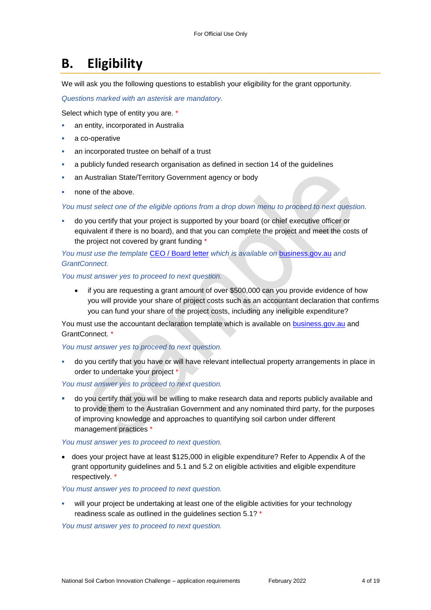# **B. Eligibility**

We will ask you the following questions to establish your eligibility for the grant opportunity.

*Questions marked with an asterisk are mandatory.* 

Select which type of entity you are. \*

- an entity, incorporated in Australia
- a co-operative
- an incorporated trustee on behalf of a trust
- a publicly funded research organisation as defined in section 14 of the guidelines
- an Australian State/Territory Government agency or body
- none of the above.

*You must select one of the eligible options from a drop down menu to proceed to next question.*

 do you certify that your project is supported by your board (or chief executive officer or equivalent if there is no board), and that you can complete the project and meet the costs of the project not covered by grant funding \*

*You must use the template* [CEO / Board letter](https://business.gov.au/grants-and-programs/national-soil-carbon-innovation-challenge-development-and-demonstration#key-documents) *which is available on* [business.gov.au](https://business.gov.au/grants-and-programs/national-soil-carbon-innovation-challenge-development-and-demonstration#key-documents) *and [GrantConnect.](http://www.grants.gov.au/)*

*You must answer yes to proceed to next question.*

• if you are requesting a grant amount of over \$500,000 can you provide evidence of how you will provide your share of project costs such as an accountant declaration that confirms you can fund your share of the project costs, including any ineligible expenditure?

You must use the accountant declaration template which is available on **business.gov.au** and [GrantConnect.](http://www.grants.gov.au/) \*

*You must answer yes to proceed to next question.*

 do you certify that you have or will have relevant intellectual property arrangements in place in order to undertake your project

*You must answer yes to proceed to next question.*

 do you certify that you will be willing to make research data and reports publicly available and to provide them to the Australian Government and any nominated third party, for the purposes of improving knowledge and approaches to quantifying soil carbon under different management practices \*

*You must answer yes to proceed to next question.*

 does your project have at least \$125,000 in eligible expenditure? Refer to Appendix A of the grant opportunity guidelines and 5.1 and 5.2 on eligible activities and eligible expenditure respectively. \*

*You must answer yes to proceed to next question.*

 will your project be undertaking at least one of the eligible activities for your technology readiness scale as outlined in the guidelines section 5.1? \*

*You must answer yes to proceed to next question.*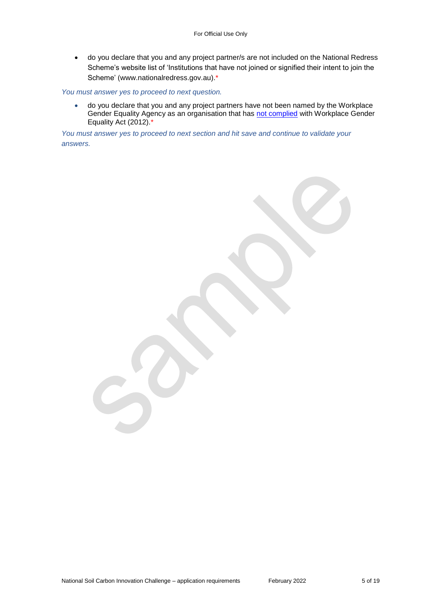do you declare that you and any project partner/s are not included on the National Redress Scheme's website list of 'Institutions that have not joined or signified their intent to join the Scheme' [\(www.nationalredress.gov.au\)](http://www.nationalredress.gov.au/).\*

*You must answer yes to proceed to next question.*

 do you declare that you and any project partners have not been named by the Workplace Gender Equality Agency as an organisation that has [not complied](https://www.wgea.gov.au/what-we-do/compliance-reporting/non-compliant-list) with Workplace Gender Equality Act (2012).\*

*You must answer yes to proceed to next section and hit save and continue to validate your answers.*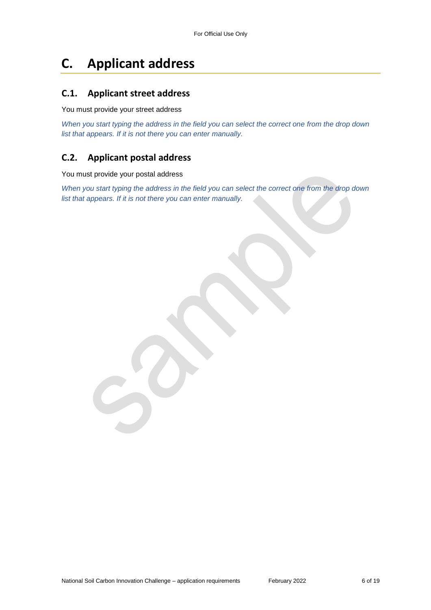# **C. Applicant address**

### **C.1. Applicant street address**

You must provide your street address

*When you start typing the address in the field you can select the correct one from the drop down list that appears. If it is not there you can enter manually.*

## **C.2. Applicant postal address**

You must provide your postal address

*When you start typing the address in the field you can select the correct one from the drop down list that appears. If it is not there you can enter manually.*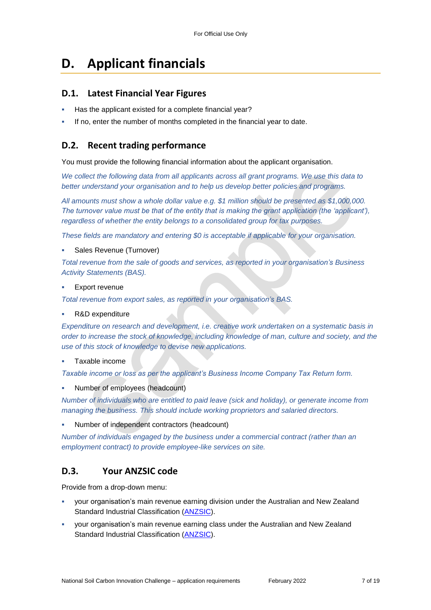# **D. Applicant financials**

### **D.1. Latest Financial Year Figures**

- Has the applicant existed for a complete financial year?
- If no, enter the number of months completed in the financial year to date.

## **D.2. Recent trading performance**

You must provide the following financial information about the applicant organisation.

*We collect the following data from all applicants across all grant programs. We use this data to better understand your organisation and to help us develop better policies and programs.*

*All amounts must show a whole dollar value e.g. \$1 million should be presented as \$1,000,000. The turnover value must be that of the entity that is making the grant application (the 'applicant'), regardless of whether the entity belongs to a consolidated group for tax purposes.*

*These fields are mandatory and entering \$0 is acceptable if applicable for your organisation.*

#### Sales Revenue (Turnover)

*Total revenue from the sale of goods and services, as reported in your organisation's Business Activity Statements (BAS).*

Export revenue

*Total revenue from export sales, as reported in your organisation's BAS.*

R&D expenditure

*Expenditure on research and development, i.e. creative work undertaken on a systematic basis in order to increase the stock of knowledge, including knowledge of man, culture and society, and the use of this stock of knowledge to devise new applications.*

#### Taxable income

*Taxable income or loss as per the applicant's Business Income Company Tax Return form.*

Number of employees (headcount)

*Number of individuals who are entitled to paid leave (sick and holiday), or generate income from managing the business. This should include working proprietors and salaried directors.*

Number of independent contractors (headcount)

*Number of individuals engaged by the business under a commercial contract (rather than an employment contract) to provide employee-like services on site.*

### **D.3. Your ANZSIC code**

Provide from a drop-down menu:

- your organisation's main revenue earning division under the Australian and New Zealand Standard Industrial Classification [\(ANZSIC\)](https://www.abs.gov.au/ausstats/abs@.nsf/0/20C5B5A4F46DF95BCA25711F00146D75?opendocument).
- your organisation's main revenue earning class under the Australian and New Zealand Standard Industrial Classification [\(ANZSIC\)](https://www.abs.gov.au/ausstats/abs@.nsf/0/20C5B5A4F46DF95BCA25711F00146D75?opendocument).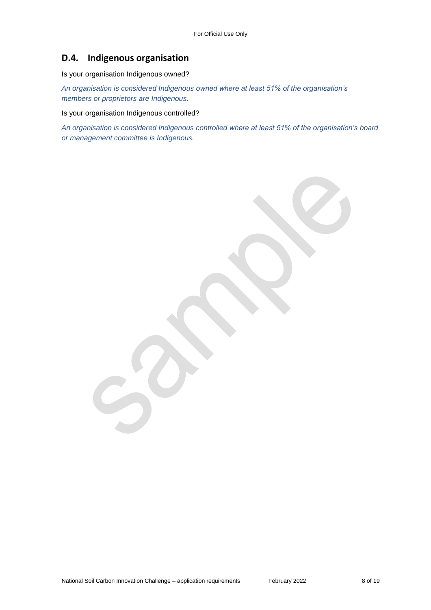### **D.4. Indigenous organisation**

Is your organisation Indigenous owned?

*An organisation is considered Indigenous owned where at least 51% of the organisation's members or proprietors are Indigenous.*

Is your organisation Indigenous controlled?

*An organisation is considered Indigenous controlled where at least 51% of the organisation's board or management committee is Indigenous.*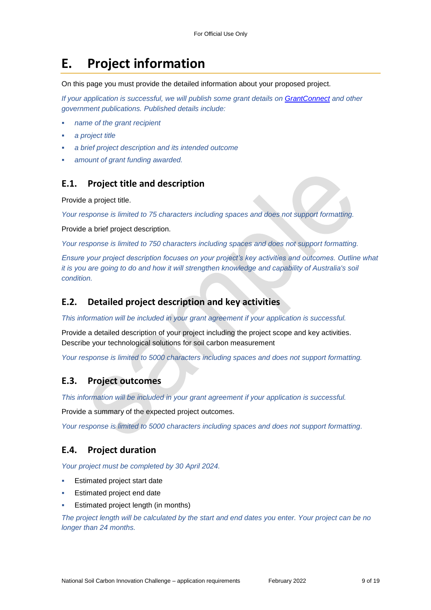# **E. Project information**

On this page you must provide the detailed information about your proposed project.

*If your application is successful, we will publish some grant details on [GrantConnect](http://www.grants.gov.au/) and other government publications. Published details include:*

- *name of the grant recipient*
- *a project title*
- *a brief project description and its intended outcome*
- *amount of grant funding awarded.*

#### **E.1. Project title and description**

Provide a project title.

*Your response is limited to 75 characters including spaces and does not support formatting.* 

Provide a brief project description.

*Your response is limited to 750 characters including spaces and does not support formatting.* 

*Ensure your project description focuses on your project's key activities and outcomes. Outline what it is you are going to do and how it will strengthen knowledge and capability of Australia's soil condition.*

#### **E.2. Detailed project description and key activities**

*This information will be included in your grant agreement if your application is successful.*

Provide a detailed description of your project including the project scope and key activities. Describe your technological solutions for soil carbon measurement

*Your response is limited to 5000 characters including spaces and does not support formatting.* 

#### **E.3. Project outcomes**

*This information will be included in your grant agreement if your application is successful.*

Provide a summary of the expected project outcomes.

*Your response is limited to 5000 characters including spaces and does not support formatting.*

#### **E.4. Project duration**

*Your project must be completed by 30 April 2024.*

- Estimated project start date
- Estimated project end date
- Estimated project length (in months)

*The project length will be calculated by the start and end dates you enter. Your project can be no longer than 24 months.*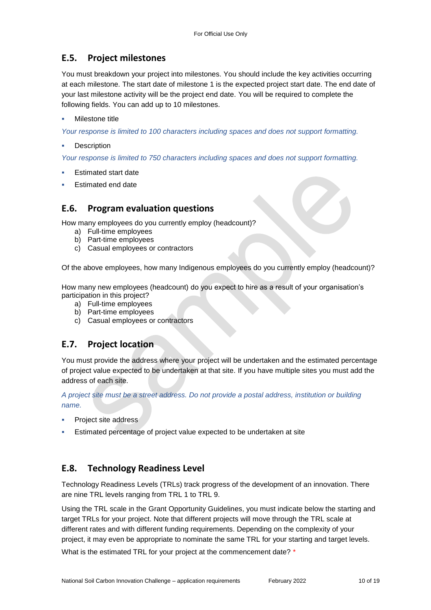## **E.5. Project milestones**

You must breakdown your project into milestones. You should include the key activities occurring at each milestone. The start date of milestone 1 is the expected project start date. The end date of your last milestone activity will be the project end date. You will be required to complete the following fields. You can add up to 10 milestones.

#### Milestone title

*Your response is limited to 100 characters including spaces and does not support formatting.*

**Description** 

*Your response is limited to 750 characters including spaces and does not support formatting.*

- Estimated start date
- Estimated end date

#### **E.6. Program evaluation questions**

How many employees do you currently employ (headcount)?

- a) Full-time employees
- b) Part-time employees
- c) Casual employees or contractors

Of the above employees, how many Indigenous employees do you currently employ (headcount)?

How many new employees (headcount) do you expect to hire as a result of your organisation's participation in this project?

- a) Full-time employees
- b) Part-time employees
- c) Casual employees or contractors

### **E.7. Project location**

You must provide the address where your project will be undertaken and the estimated percentage of project value expected to be undertaken at that site. If you have multiple sites you must add the address of each site.

*A project site must be a street address. Do not provide a postal address, institution or building name.* 

- Project site address
- Estimated percentage of project value expected to be undertaken at site

### **E.8. Technology Readiness Level**

Technology Readiness Levels (TRLs) track progress of the development of an innovation. There are nine TRL levels ranging from TRL 1 to TRL 9.

Using the TRL scale in the Grant Opportunity Guidelines, you must indicate below the starting and target TRLs for your project. Note that different projects will move through the TRL scale at different rates and with different funding requirements. Depending on the complexity of your project, it may even be appropriate to nominate the same TRL for your starting and target levels. What is the estimated TRL for your project at the commencement date? \*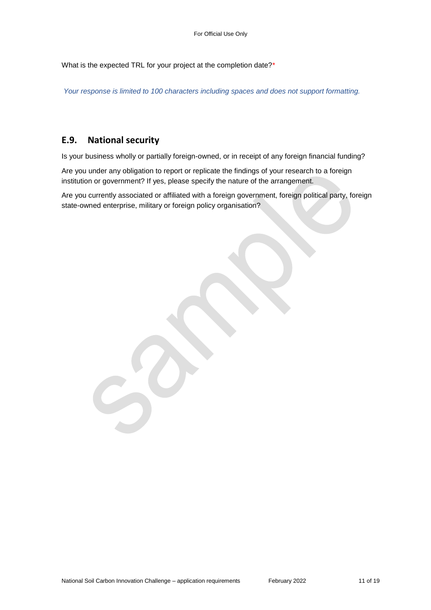What is the expected TRL for your project at the completion date?\*

*Your response is limited to 100 characters including spaces and does not support formatting.*

#### **E.9. National security**

Is your business wholly or partially foreign-owned, or in receipt of any foreign financial funding?

Are you under any obligation to report or replicate the findings of your research to a foreign institution or government? If yes, please specify the nature of the arrangement.

Are you currently associated or affiliated with a foreign government, foreign political party, foreign state-owned enterprise, military or foreign policy organisation?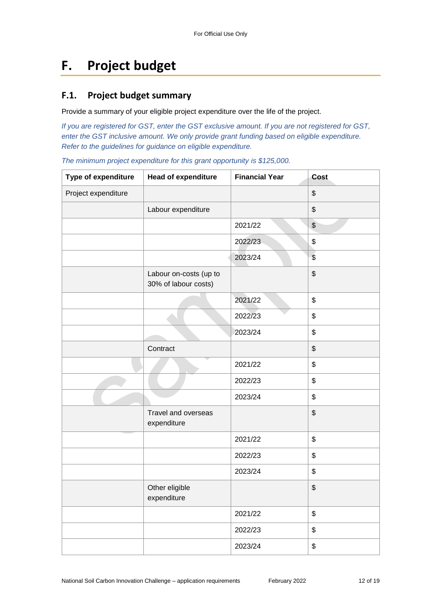# **F. Project budget**

### **F.1. Project budget summary**

Provide a summary of your eligible project expenditure over the life of the project.

*If you are registered for GST, enter the GST exclusive amount. If you are not registered for GST, enter the GST inclusive amount. We only provide grant funding based on eligible expenditure. Refer to the guidelines for guidance on eligible expenditure.*

*The minimum project expenditure for this grant opportunity is \$125,000.*

| Type of expenditure | Head of expenditure                            | <b>Financial Year</b> | Cost           |
|---------------------|------------------------------------------------|-----------------------|----------------|
| Project expenditure |                                                |                       | \$             |
|                     | Labour expenditure                             |                       | \$             |
|                     |                                                | 2021/22               | $$\mathbb{S}$$ |
|                     |                                                | 2022/23               | \$             |
|                     |                                                | 2023/24               | $\frac{1}{2}$  |
|                     | Labour on-costs (up to<br>30% of labour costs) |                       | \$             |
|                     |                                                | 2021/22               | \$             |
|                     |                                                | 2022/23               | \$             |
|                     |                                                | 2023/24               | \$             |
|                     | Contract                                       |                       | \$             |
|                     |                                                | 2021/22               | \$             |
|                     |                                                | 2022/23               | \$             |
|                     |                                                | 2023/24               | \$             |
|                     | Travel and overseas<br>expenditure             |                       | \$             |
|                     |                                                | 2021/22               | \$             |
|                     |                                                | 2022/23               | \$             |
|                     |                                                | 2023/24               | \$             |
|                     | Other eligible<br>expenditure                  |                       | \$             |
|                     |                                                | 2021/22               | \$             |
|                     |                                                | 2022/23               | \$             |
|                     |                                                | 2023/24               | \$             |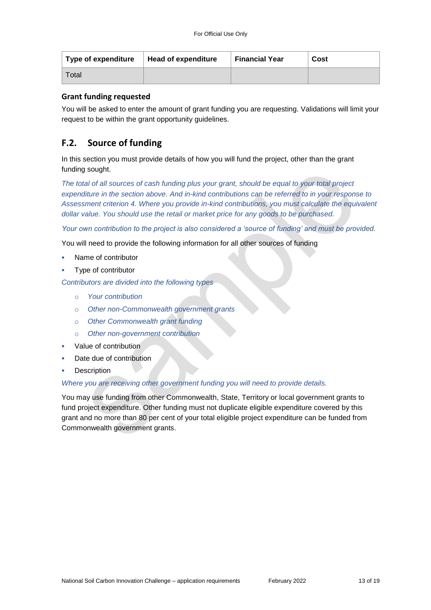| Type of expenditure | Head of expenditure | <b>Financial Year</b> | Cost |
|---------------------|---------------------|-----------------------|------|
| Total               |                     |                       |      |

#### **Grant funding requested**

You will be asked to enter the amount of grant funding you are requesting. Validations will limit your request to be within the grant opportunity guidelines.

#### **F.2. Source of funding**

In this section you must provide details of how you will fund the project, other than the grant funding sought.

*The total of all sources of cash funding plus your grant, should be equal to your total project expenditure in the section above. And in-kind contributions can be referred to in your response to Assessment criterion 4. Where you provide in-kind contributions, you must calculate the equivalent dollar value. You should use the retail or market price for any goods to be purchased.*

*Your own contribution to the project is also considered a 'source of funding' and must be provided.*

You will need to provide the following information for all other sources of funding

- Name of contributor
- Type of contributor

*Contributors are divided into the following types*

- o *Your contribution*
- o *Other non-Commonwealth government grants*
- o *Other Commonwealth grant funding*
- o *Other non-government contribution*
- Value of contribution
- Date due of contribution
- **Description**

#### *Where you are receiving other government funding you will need to provide details.*

You may use funding from other Commonwealth, State, Territory or local government grants to fund project expenditure. Other funding must not duplicate eligible expenditure covered by this grant and no more than 80 per cent of your total eligible project expenditure can be funded from Commonwealth government grants.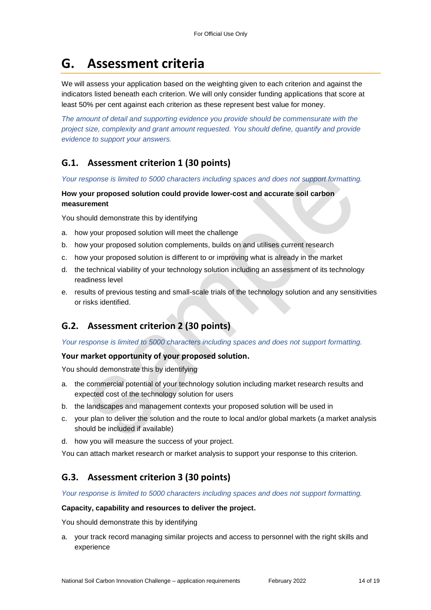# **G. Assessment criteria**

We will assess your application based on the weighting given to each criterion and against the indicators listed beneath each criterion. We will only consider funding applications that score at least 50% per cent against each criterion as these represent best value for money.

*The amount of detail and supporting evidence you provide should be commensurate with the project size, complexity and grant amount requested. You should define, quantify and provide evidence to support your answers.*

## **G.1. Assessment criterion 1 (30 points)**

*Your response is limited to 5000 characters including spaces and does not support formatting.* 

#### **How your proposed solution could provide lower-cost and accurate soil carbon measurement**

You should demonstrate this by identifying

- a. how your proposed solution will meet the challenge
- b. how your proposed solution complements, builds on and utilises current research
- c. how your proposed solution is different to or improving what is already in the market
- d. the technical viability of your technology solution including an assessment of its technology readiness level
- e. results of previous testing and small-scale trials of the technology solution and any sensitivities or risks identified.

### **G.2. Assessment criterion 2 (30 points)**

*Your response is limited to 5000 characters including spaces and does not support formatting.* 

#### **Your market opportunity of your proposed solution.**

You should demonstrate this by identifying

- a. the commercial potential of your technology solution including market research results and expected cost of the technology solution for users
- b. the landscapes and management contexts your proposed solution will be used in
- c. your plan to deliver the solution and the route to local and/or global markets (a market analysis should be included if available)
- d. how you will measure the success of your project.

You can attach market research or market analysis to support your response to this criterion.

### **G.3. Assessment criterion 3 (30 points)**

*Your response is limited to 5000 characters including spaces and does not support formatting.* 

#### **Capacity, capability and resources to deliver the project.**

You should demonstrate this by identifying

a. your track record managing similar projects and access to personnel with the right skills and experience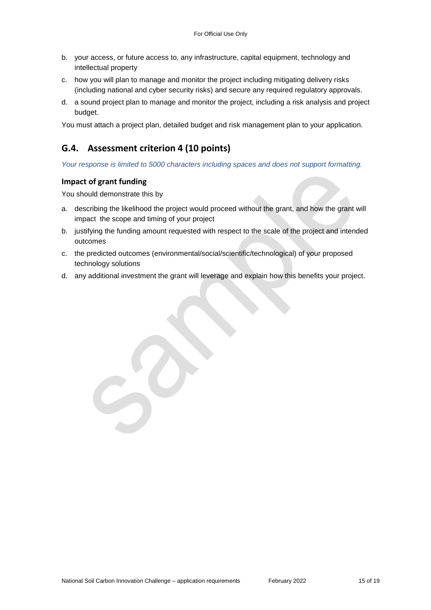- b. your access, or future access to, any infrastructure, capital equipment, technology and intellectual property
- c. how you will plan to manage and monitor the project including mitigating delivery risks (including national and cyber security risks) and secure any required regulatory approvals.
- d. a sound project plan to manage and monitor the project, including a risk analysis and project budget.

You must attach a project plan, detailed budget and risk management plan to your application.

### **G.4. Assessment criterion 4 (10 points)**

*Your response is limited to 5000 characters including spaces and does not support formatting.* 

#### **Impact of grant funding**

You should demonstrate this by

- a. describing the likelihood the project would proceed without the grant, and how the grant will impact the scope and timing of your project
- b. justifying the funding amount requested with respect to the scale of the project and intended outcomes
- c. the predicted outcomes (environmental/social/scientific/technological) of your proposed technology solutions
- d. any additional investment the grant will leverage and explain how this benefits your project.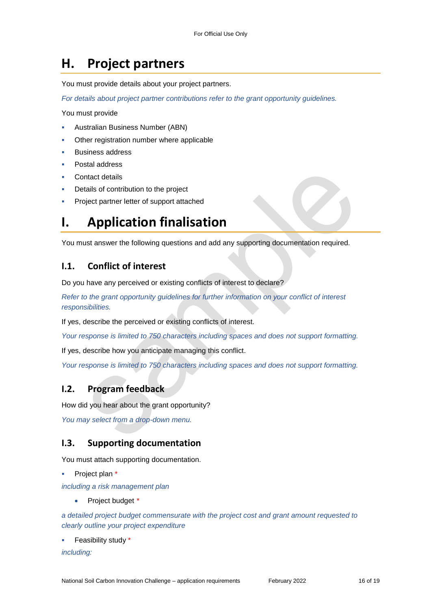# **H. Project partners**

You must provide details about your project partners.

*For details about project partner contributions refer to the grant opportunity guidelines.*

You must provide

- Australian Business Number (ABN)
- Other registration number where applicable
- Business address
- Postal address
- Contact details
- Details of contribution to the project
- Project partner letter of support attached

## **I. Application finalisation**

You must answer the following questions and add any supporting documentation required.

### **I.1. Conflict of interest**

Do you have any perceived or existing conflicts of interest to declare?

*Refer to the grant opportunity guidelines for further information on your conflict of interest responsibilities.*

If yes, describe the perceived or existing conflicts of interest.

*Your response is limited to 750 characters including spaces and does not support formatting.*

If yes, describe how you anticipate managing this conflict.

*Your response is limited to 750 characters including spaces and does not support formatting.*

#### **I.2. Program feedback**

How did you hear about the grant opportunity?

*You may select from a drop-down menu.* 

#### **I.3. Supporting documentation**

You must attach supporting documentation.

Project plan \*

*including a risk management plan*

Project budget *\**

*a detailed project budget commensurate with the project cost and grant amount requested to clearly outline your project expenditure* 

Feasibility study \*

*including:*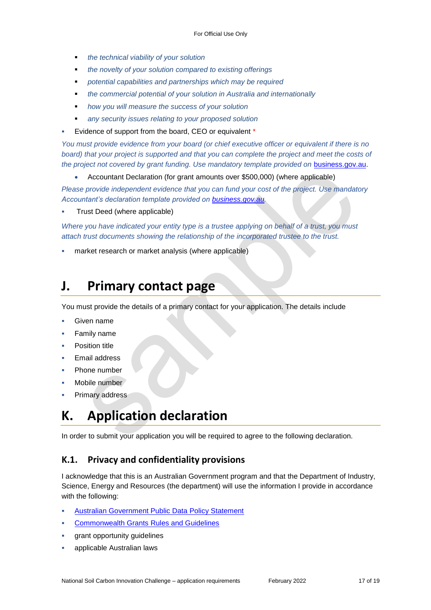- *the technical viability of your solution*
- *the novelty of your solution compared to existing offerings*
- *potential capabilities and partnerships which may be required*
- *the commercial potential of your solution in Australia and internationally*
- *how you will measure the success of your solution*
- *any security issues relating to your proposed solution*
- Evidence of support from the board, CEO or equivalent \*

*You must provide evidence from your board (or chief executive officer or equivalent if there is no*  board) that your project is supported and that you can complete the project and meet the costs of *the project not covered by grant funding. Use mandatory template provided on [business.gov.au.](https://business.gov.au/grants-and-programs/national-soil-carbon-innovation-challenge-development-and-demonstration)* 

Accountant Declaration (for grant amounts over \$500,000) (where applicable)

*Please provide independent evidence that you can fund your cost of the project. Use mandatory Accountant's declaration template provided on [business.gov.au.](https://business.gov.au/grants-and-programs/national-soil-carbon-innovation-challenge-development-and-demonstration)*

Trust Deed (where applicable)

*Where you have indicated your entity type is a trustee applying on behalf of a trust, you must attach trust documents showing the relationship of the incorporated trustee to the trust.*

market research or market analysis (where applicable)

## **J. Primary contact page**

You must provide the details of a primary contact for your application. The details include

- Given name
- Family name
- Position title
- Email address
- Phone number
- Mobile number
- Primary address

# **K. Application declaration**

In order to submit your application you will be required to agree to the following declaration.

#### **K.1. Privacy and confidentiality provisions**

I acknowledge that this is an Australian Government program and that the Department of Industry, Science, Energy and Resources (the department) will use the information I provide in accordance with the following:

- [Australian Government Public Data Policy Statement](https://www.pmc.gov.au/sites/default/files/publications/aust_govt_public_data_policy_statement_1.pdf)
- [Commonwealth Grants Rules and Guidelines](https://www.finance.gov.au/government/commonwealth-grants/commonwealth-grants-rules-guidelines)
- grant opportunity guidelines
- applicable Australian laws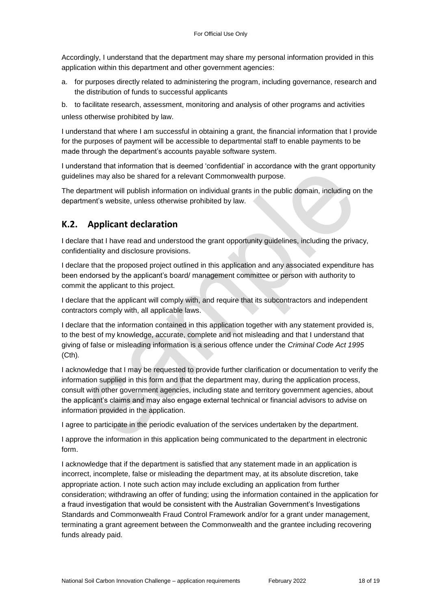Accordingly, I understand that the department may share my personal information provided in this application within this department and other government agencies:

- a. for purposes directly related to administering the program, including governance, research and the distribution of funds to successful applicants
- b. to facilitate research, assessment, monitoring and analysis of other programs and activities unless otherwise prohibited by law.

I understand that where I am successful in obtaining a grant, the financial information that I provide for the purposes of payment will be accessible to departmental staff to enable payments to be made through the department's accounts payable software system.

I understand that information that is deemed 'confidential' in accordance with the grant opportunity guidelines may also be shared for a relevant Commonwealth purpose.

The department will publish information on individual grants in the public domain, including on the department's website, unless otherwise prohibited by law.

## **K.2. Applicant declaration**

I declare that I have read and understood the grant opportunity guidelines, including the privacy, confidentiality and disclosure provisions.

I declare that the proposed project outlined in this application and any associated expenditure has been endorsed by the applicant's board/ management committee or person with authority to commit the applicant to this project.

I declare that the applicant will comply with, and require that its subcontractors and independent contractors comply with, all applicable laws.

I declare that the information contained in this application together with any statement provided is, to the best of my knowledge, accurate, complete and not misleading and that I understand that giving of false or misleading information is a serious offence under the *Criminal Code Act 1995*  (Cth)*.*

I acknowledge that I may be requested to provide further clarification or documentation to verify the information supplied in this form and that the department may, during the application process, consult with other government agencies, including state and territory government agencies, about the applicant's claims and may also engage external technical or financial advisors to advise on information provided in the application.

I agree to participate in the periodic evaluation of the services undertaken by the department.

I approve the information in this application being communicated to the department in electronic form.

I acknowledge that if the department is satisfied that any statement made in an application is incorrect, incomplete, false or misleading the department may, at its absolute discretion, take appropriate action. I note such action may include excluding an application from further consideration; withdrawing an offer of funding; using the information contained in the application for a fraud investigation that would be consistent with the Australian Government's Investigations Standards and Commonwealth Fraud Control Framework and/or for a grant under management, terminating a grant agreement between the Commonwealth and the grantee including recovering funds already paid.